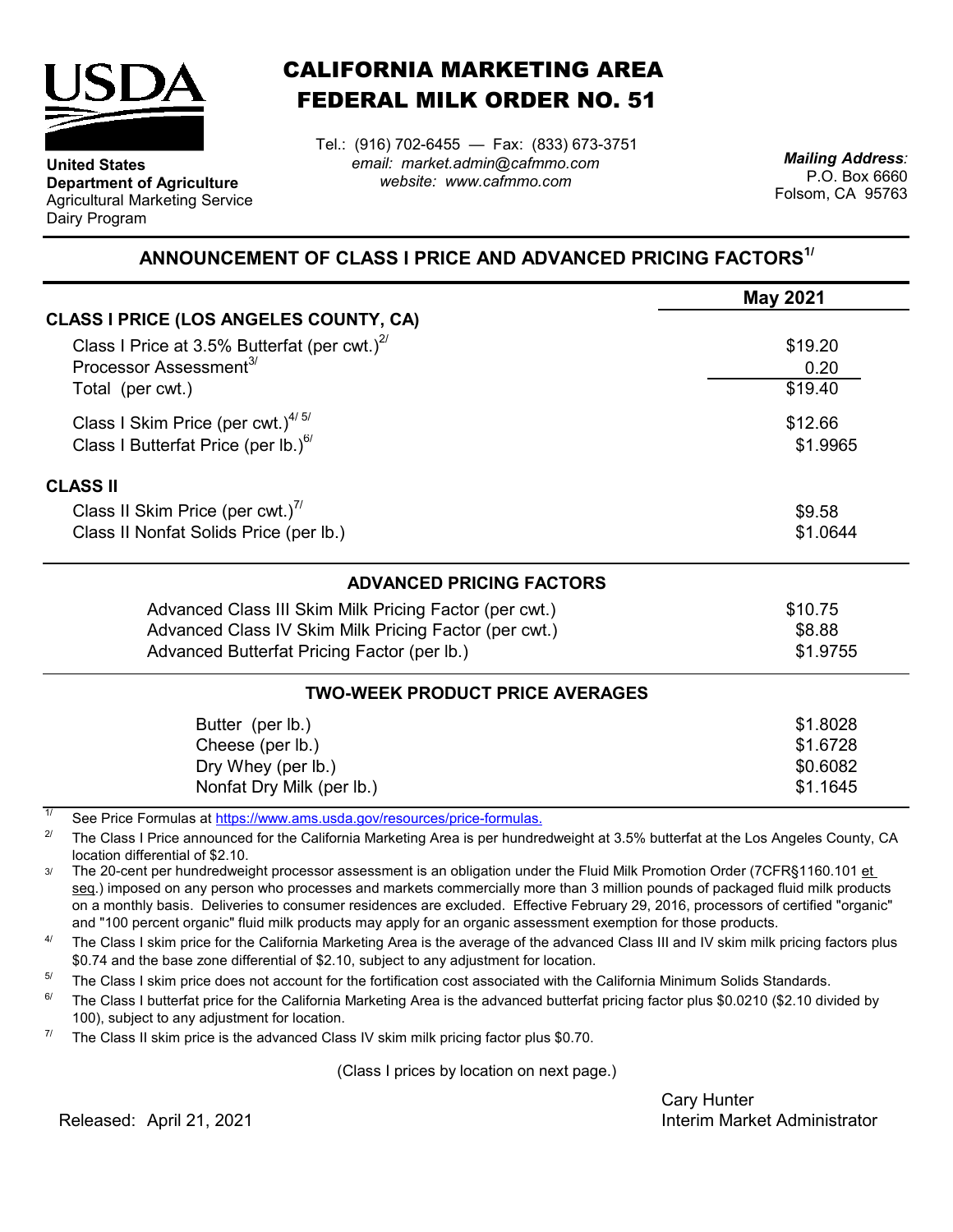

**Department of Agriculture** Agricultural Marketing Service

**United States**

Dairy Program

CALIFORNIA MARKETING AREA FEDERAL MILK ORDER NO. 51

*email: market.admin@cafmmo.com website: www.cafmmo.com* Tel.: (916) 702-6455 — Fax: (833) 673-3751 *Mailing Address:*

P.O. Box 6660 Folsom, CA 95763

## **ANNOUNCEMENT OF CLASS I PRICE AND ADVANCED PRICING FACTORS1/**

|                                                                               | <b>May 2021</b> |  |
|-------------------------------------------------------------------------------|-----------------|--|
| <b>CLASS I PRICE (LOS ANGELES COUNTY, CA)</b>                                 |                 |  |
| Class I Price at 3.5% Butterfat (per cwt.) $2^{7}$                            | \$19.20         |  |
| Processor Assessment <sup>3/</sup>                                            | 0.20            |  |
| Total (per cwt.)                                                              | \$19.40         |  |
| Class I Skim Price (per cwt.) $4/5/$                                          | \$12.66         |  |
| Class I Butterfat Price (per lb.) $^{67}$                                     | \$1.9965        |  |
| <b>CLASS II</b>                                                               |                 |  |
| Class II Skim Price (per cwt.) <sup>7/</sup>                                  | \$9.58          |  |
| Class II Nonfat Solids Price (per lb.)                                        | \$1.0644        |  |
| <b>ADVANCED PRICING FACTORS</b>                                               |                 |  |
| Advanced Class III Skim Milk Pricing Factor (per cwt.)                        | \$10.75         |  |
| Advanced Class IV Skim Milk Pricing Factor (per cwt.)                         | \$8.88          |  |
| Advanced Butterfat Pricing Factor (per lb.)                                   | \$1.9755        |  |
| <b>TWO-WEEK PRODUCT PRICE AVERAGES</b>                                        |                 |  |
| Butter (per lb.)                                                              | \$1.8028        |  |
| Cheese (per lb.)                                                              | \$1.6728        |  |
| Dry Whey (per lb.)                                                            | \$0.6082        |  |
| Nonfat Dry Milk (per lb.)                                                     | \$1.1645        |  |
| 11<br>See Price Fermulas at https://www.ams.usda.gov/resources/price fermulas |                 |  |

[See Price Formulas at h](https://www.ams.usda.gov/resources/price-formulas)ttps://www.ams.usda.gov/resources/price-formulas.

2/ The Class I Price announced for the California Marketing Area is per hundredweight at 3.5% butterfat at the Los Angeles County, CA location differential of \$2.10.

3/ The 20-cent per hundredweight processor assessment is an obligation under the Fluid Milk Promotion Order (7CFR§1160.101 et seq.) imposed on any person who processes and markets commercially more than 3 million pounds of packaged fluid milk products on a monthly basis. Deliveries to consumer residences are excluded. Effective February 29, 2016, processors of certified "organic" and "100 percent organic" fluid milk products may apply for an organic assessment exemption for those products.

4/ The Class I skim price for the California Marketing Area is the average of the advanced Class III and IV skim milk pricing factors plus \$0.74 and the base zone differential of \$2.10, subject to any adjustment for location.

5/ The Class I skim price does not account for the fortification cost associated with the California Minimum Solids Standards.

6/ The Class I butterfat price for the California Marketing Area is the advanced butterfat pricing factor plus \$0.0210 (\$2.10 divided by 100), subject to any adjustment for location.

7/ The Class II skim price is the advanced Class IV skim milk pricing factor plus \$0.70.

(Class I prices by location on next page.)

Cary Hunter Released: Interim Market Administrator April 21, 2021